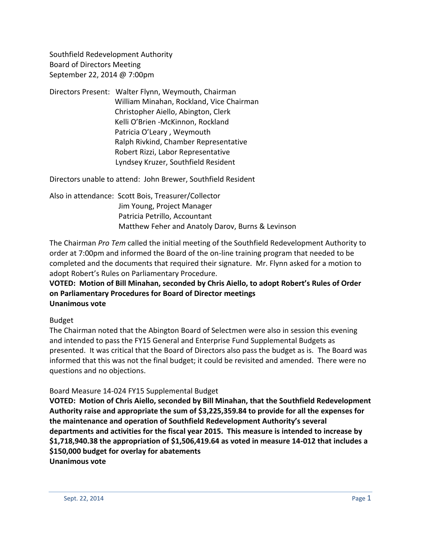Southfield Redevelopment Authority Board of Directors Meeting September 22, 2014 @ 7:00pm

Directors Present: Walter Flynn, Weymouth, Chairman William Minahan, Rockland, Vice Chairman Christopher Aiello, Abington, Clerk Kelli O'Brien -McKinnon, Rockland Patricia O'Leary , Weymouth Ralph Rivkind, Chamber Representative Robert Rizzi, Labor Representative Lyndsey Kruzer, Southfield Resident

Directors unable to attend: John Brewer, Southfield Resident

Also in attendance: Scott Bois, Treasurer/Collector Jim Young, Project Manager Patricia Petrillo, Accountant Matthew Feher and Anatoly Darov, Burns & Levinson

The Chairman *Pro Tem* called the initial meeting of the Southfield Redevelopment Authority to order at 7:00pm and informed the Board of the on-line training program that needed to be completed and the documents that required their signature. Mr. Flynn asked for a motion to adopt Robert's Rules on Parliamentary Procedure.

## **VOTED: Motion of Bill Minahan, seconded by Chris Aiello, to adopt Robert's Rules of Order on Parliamentary Procedures for Board of Director meetings Unanimous vote**

#### Budget

The Chairman noted that the Abington Board of Selectmen were also in session this evening and intended to pass the FY15 General and Enterprise Fund Supplemental Budgets as presented. It was critical that the Board of Directors also pass the budget as is. The Board was informed that this was not the final budget; it could be revisited and amended. There were no questions and no objections.

#### Board Measure 14-024 FY15 Supplemental Budget

**VOTED: Motion of Chris Aiello, seconded by Bill Minahan, that the Southfield Redevelopment Authority raise and appropriate the sum of \$3,225,359.84 to provide for all the expenses for the maintenance and operation of Southfield Redevelopment Authority's several departments and activities for the fiscal year 2015. This measure is intended to increase by \$1,718,940.38 the appropriation of \$1,506,419.64 as voted in measure 14-012 that includes a \$150,000 budget for overlay for abatements**

**Unanimous vote**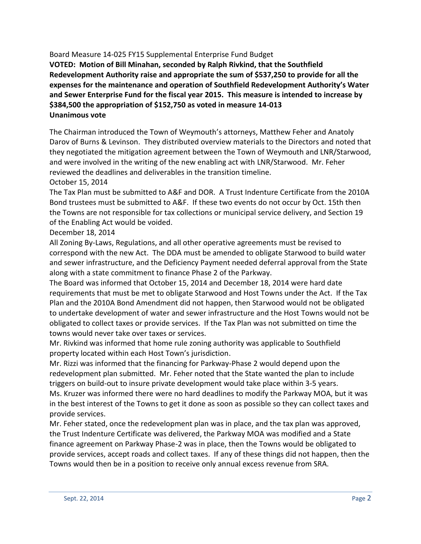Board Measure 14-025 FY15 Supplemental Enterprise Fund Budget

**VOTED: Motion of Bill Minahan, seconded by Ralph Rivkind, that the Southfield Redevelopment Authority raise and appropriate the sum of \$537,250 to provide for all the expenses for the maintenance and operation of Southfield Redevelopment Authority's Water and Sewer Enterprise Fund for the fiscal year 2015. This measure is intended to increase by \$384,500 the appropriation of \$152,750 as voted in measure 14-013 Unanimous vote**

The Chairman introduced the Town of Weymouth's attorneys, Matthew Feher and Anatoly Darov of Burns & Levinson. They distributed overview materials to the Directors and noted that they negotiated the mitigation agreement between the Town of Weymouth and LNR/Starwood, and were involved in the writing of the new enabling act with LNR/Starwood. Mr. Feher reviewed the deadlines and deliverables in the transition timeline.

October 15, 2014

The Tax Plan must be submitted to A&F and DOR. A Trust Indenture Certificate from the 2010A Bond trustees must be submitted to A&F. If these two events do not occur by Oct. 15th then the Towns are not responsible for tax collections or municipal service delivery, and Section 19 of the Enabling Act would be voided.

December 18, 2014

All Zoning By-Laws, Regulations, and all other operative agreements must be revised to correspond with the new Act. The DDA must be amended to obligate Starwood to build water and sewer infrastructure, and the Deficiency Payment needed deferral approval from the State along with a state commitment to finance Phase 2 of the Parkway.

The Board was informed that October 15, 2014 and December 18, 2014 were hard date requirements that must be met to obligate Starwood and Host Towns under the Act. If the Tax Plan and the 2010A Bond Amendment did not happen, then Starwood would not be obligated to undertake development of water and sewer infrastructure and the Host Towns would not be obligated to collect taxes or provide services. If the Tax Plan was not submitted on time the towns would never take over taxes or services.

Mr. Rivkind was informed that home rule zoning authority was applicable to Southfield property located within each Host Town's jurisdiction.

Mr. Rizzi was informed that the financing for Parkway-Phase 2 would depend upon the redevelopment plan submitted. Mr. Feher noted that the State wanted the plan to include triggers on build-out to insure private development would take place within 3-5 years. Ms. Kruzer was informed there were no hard deadlines to modify the Parkway MOA, but it was in the best interest of the Towns to get it done as soon as possible so they can collect taxes and provide services.

Mr. Feher stated, once the redevelopment plan was in place, and the tax plan was approved, the Trust Indenture Certificate was delivered, the Parkway MOA was modified and a State finance agreement on Parkway Phase-2 was in place, then the Towns would be obligated to provide services, accept roads and collect taxes. If any of these things did not happen, then the Towns would then be in a position to receive only annual excess revenue from SRA.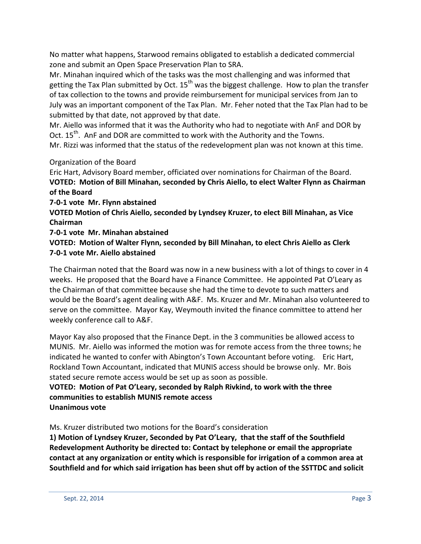No matter what happens, Starwood remains obligated to establish a dedicated commercial zone and submit an Open Space Preservation Plan to SRA.

Mr. Minahan inquired which of the tasks was the most challenging and was informed that getting the Tax Plan submitted by Oct.  $15<sup>th</sup>$  was the biggest challenge. How to plan the transfer of tax collection to the towns and provide reimbursement for municipal services from Jan to July was an important component of the Tax Plan. Mr. Feher noted that the Tax Plan had to be submitted by that date, not approved by that date.

Mr. Aiello was informed that it was the Authority who had to negotiate with AnF and DOR by Oct.  $15^{th}$ . AnF and DOR are committed to work with the Authority and the Towns.

Mr. Rizzi was informed that the status of the redevelopment plan was not known at this time.

## Organization of the Board

Eric Hart, Advisory Board member, officiated over nominations for Chairman of the Board. **VOTED: Motion of Bill Minahan, seconded by Chris Aiello, to elect Walter Flynn as Chairman of the Board**

**7-0-1 vote Mr. Flynn abstained**

**VOTED Motion of Chris Aiello, seconded by Lyndsey Kruzer, to elect Bill Minahan, as Vice Chairman**

**7-0-1 vote Mr. Minahan abstained**

**VOTED: Motion of Walter Flynn, seconded by Bill Minahan, to elect Chris Aiello as Clerk 7-0-1 vote Mr. Aiello abstained**

The Chairman noted that the Board was now in a new business with a lot of things to cover in 4 weeks. He proposed that the Board have a Finance Committee. He appointed Pat O'Leary as the Chairman of that committee because she had the time to devote to such matters and would be the Board's agent dealing with A&F. Ms. Kruzer and Mr. Minahan also volunteered to serve on the committee. Mayor Kay, Weymouth invited the finance committee to attend her weekly conference call to A&F.

Mayor Kay also proposed that the Finance Dept. in the 3 communities be allowed access to MUNIS. Mr. Aiello was informed the motion was for remote access from the three towns; he indicated he wanted to confer with Abington's Town Accountant before voting. Eric Hart, Rockland Town Accountant, indicated that MUNIS access should be browse only. Mr. Bois stated secure remote access would be set up as soon as possible.

#### **VOTED: Motion of Pat O'Leary, seconded by Ralph Rivkind, to work with the three communities to establish MUNIS remote access Unanimous vote**

Ms. Kruzer distributed two motions for the Board's consideration

**1) Motion of Lyndsey Kruzer, Seconded by Pat O'Leary, that the staff of the Southfield Redevelopment Authority be directed to: Contact by telephone or email the appropriate contact at any organization or entity which is responsible for irrigation of a common area at Southfield and for which said irrigation has been shut off by action of the SSTTDC and solicit**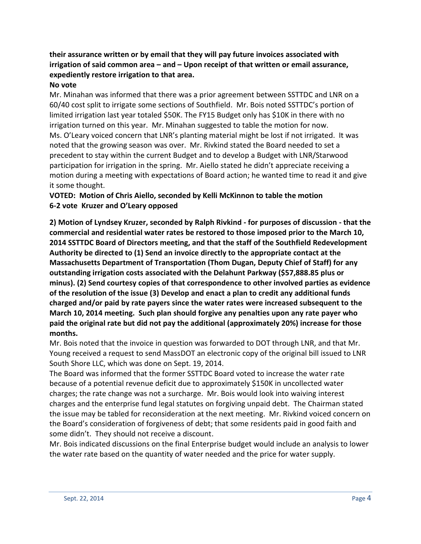## **their assurance written or by email that they will pay future invoices associated with irrigation of said common area – and – Upon receipt of that written or email assurance, expediently restore irrigation to that area.**

#### **No vote**

Mr. Minahan was informed that there was a prior agreement between SSTTDC and LNR on a 60/40 cost split to irrigate some sections of Southfield. Mr. Bois noted SSTTDC's portion of limited irrigation last year totaled \$50K. The FY15 Budget only has \$10K in there with no irrigation turned on this year. Mr. Minahan suggested to table the motion for now. Ms. O'Leary voiced concern that LNR's planting material might be lost if not irrigated. It was noted that the growing season was over. Mr. Rivkind stated the Board needed to set a precedent to stay within the current Budget and to develop a Budget with LNR/Starwood participation for irrigation in the spring. Mr. Aiello stated he didn't appreciate receiving a motion during a meeting with expectations of Board action; he wanted time to read it and give it some thought.

## **VOTED: Motion of Chris Aiello, seconded by Kelli McKinnon to table the motion 6-2 vote Kruzer and O'Leary opposed**

**2) Motion of Lyndsey Kruzer, seconded by Ralph Rivkind - for purposes of discussion - that the commercial and residential water rates be restored to those imposed prior to the March 10, 2014 SSTTDC Board of Directors meeting, and that the staff of the Southfield Redevelopment Authority be directed to (1) Send an invoice directly to the appropriate contact at the Massachusetts Department of Transportation (Thom Dugan, Deputy Chief of Staff) for any outstanding irrigation costs associated with the Delahunt Parkway (\$57,888.85 plus or minus). (2) Send courtesy copies of that correspondence to other involved parties as evidence of the resolution of the issue (3) Develop and enact a plan to credit any additional funds charged and/or paid by rate payers since the water rates were increased subsequent to the March 10, 2014 meeting. Such plan should forgive any penalties upon any rate payer who paid the original rate but did not pay the additional (approximately 20%) increase for those months.**

Mr. Bois noted that the invoice in question was forwarded to DOT through LNR, and that Mr. Young received a request to send MassDOT an electronic copy of the original bill issued to LNR South Shore LLC, which was done on Sept. 19, 2014.

The Board was informed that the former SSTTDC Board voted to increase the water rate because of a potential revenue deficit due to approximately \$150K in uncollected water charges; the rate change was not a surcharge. Mr. Bois would look into waiving interest charges and the enterprise fund legal statutes on forgiving unpaid debt. The Chairman stated the issue may be tabled for reconsideration at the next meeting. Mr. Rivkind voiced concern on the Board's consideration of forgiveness of debt; that some residents paid in good faith and some didn't. They should not receive a discount.

Mr. Bois indicated discussions on the final Enterprise budget would include an analysis to lower the water rate based on the quantity of water needed and the price for water supply.